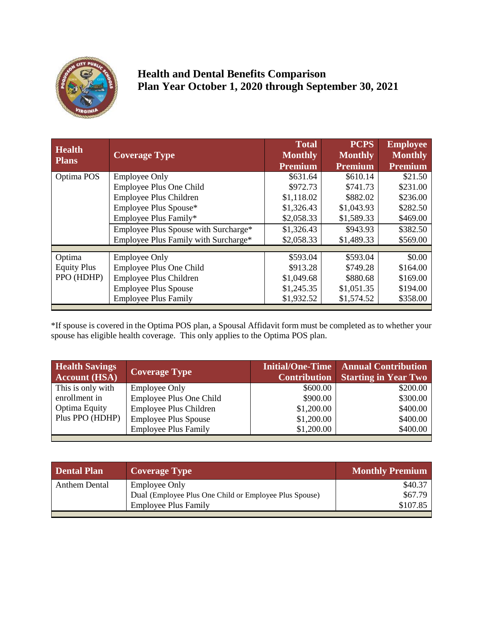

## **Health and Dental Benefits Comparison Plan Year October 1, 2020 through September 30, 2021**

| <b>Health</b><br><b>Plans</b> | <b>Coverage Type</b>                 | <b>Total</b><br><b>Monthly</b><br><b>Premium</b> | <b>PCPS</b><br><b>Monthly</b><br><b>Premium</b> | <b>Employee</b><br><b>Monthly</b><br><b>Premium</b> |
|-------------------------------|--------------------------------------|--------------------------------------------------|-------------------------------------------------|-----------------------------------------------------|
| Optima POS                    | <b>Employee Only</b>                 | \$631.64                                         | \$610.14                                        | \$21.50                                             |
|                               |                                      |                                                  |                                                 |                                                     |
|                               | Employee Plus One Child              | \$972.73                                         | \$741.73                                        | \$231.00                                            |
|                               | Employee Plus Children               | \$1,118.02                                       | \$882.02                                        | \$236.00                                            |
|                               | Employee Plus Spouse*                | \$1,326.43                                       | \$1,043.93                                      | \$282.50                                            |
|                               | Employee Plus Family*                | \$2,058.33                                       | \$1,589.33                                      | \$469.00                                            |
|                               | Employee Plus Spouse with Surcharge* | \$1,326.43                                       | \$943.93                                        | \$382.50                                            |
|                               | Employee Plus Family with Surcharge* | \$2,058.33                                       | \$1,489.33                                      | \$569.00                                            |
|                               |                                      |                                                  |                                                 |                                                     |
| Optima                        | <b>Employee Only</b>                 | \$593.04                                         | \$593.04                                        | \$0.00                                              |
| <b>Equity Plus</b>            | Employee Plus One Child              | \$913.28                                         | \$749.28                                        | \$164.00                                            |
| PPO (HDHP)                    | Employee Plus Children               | \$1,049.68                                       | \$880.68                                        | \$169.00                                            |
|                               | <b>Employee Plus Spouse</b>          | \$1,245.35                                       | \$1,051.35                                      | \$194.00                                            |
|                               | <b>Employee Plus Family</b>          | \$1,932.52                                       | \$1,574.52                                      | \$358.00                                            |
|                               |                                      |                                                  |                                                 |                                                     |

\*If spouse is covered in the Optima POS plan, a Spousal Affidavit form must be completed as to whether your spouse has eligible health coverage. This only applies to the Optima POS plan.

| <b>Health Savings</b><br><b>Account (HSA)</b> | <b>Coverage Type</b>        | <b>Contribution</b> | Initial/One-Time   Annual Contribution<br><b>Starting in Year Two</b> |
|-----------------------------------------------|-----------------------------|---------------------|-----------------------------------------------------------------------|
| This is only with                             | <b>Employee Only</b>        | \$600.00            | \$200.00                                                              |
| enrollment in                                 | Employee Plus One Child     | \$900.00            | \$300.00                                                              |
| Optima Equity                                 | Employee Plus Children      | \$1,200.00          | \$400.00                                                              |
| Plus PPO (HDHP)                               | <b>Employee Plus Spouse</b> | \$1,200.00          | \$400.00                                                              |
|                                               | <b>Employee Plus Family</b> | \$1,200.00          | \$400.00                                                              |
|                                               |                             |                     |                                                                       |

| <b>Dental Plan</b>   | <b>Coverage Type</b>                                   | <b>Monthly Premium</b> |
|----------------------|--------------------------------------------------------|------------------------|
| <b>Anthem Dental</b> | <b>Employee Only</b>                                   | \$40.37                |
|                      | Dual (Employee Plus One Child or Employee Plus Spouse) | \$67.79                |
|                      | <b>Employee Plus Family</b>                            | \$107.85               |
|                      |                                                        |                        |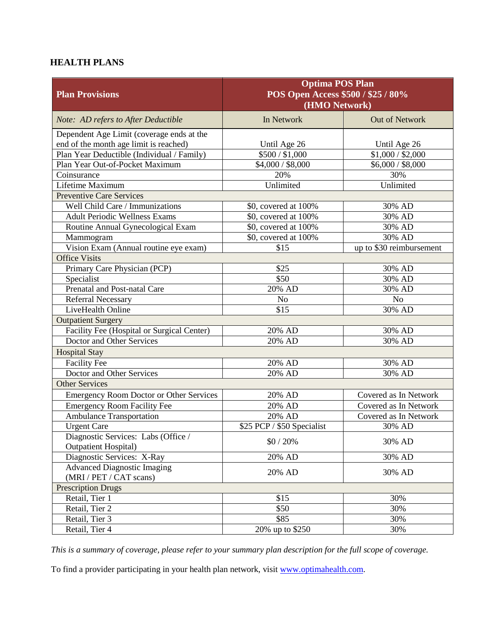## **HEALTH PLANS**

| <b>Plan Provisions</b>                                                              | <b>Optima POS Plan</b><br>POS Open Access \$500 / \$25 / 80%<br>(HMO Network) |                               |  |
|-------------------------------------------------------------------------------------|-------------------------------------------------------------------------------|-------------------------------|--|
| Note: AD refers to After Deductible                                                 | In Network                                                                    | Out of Network                |  |
| Dependent Age Limit (coverage ends at the<br>end of the month age limit is reached) | Until Age 26                                                                  | Until Age 26                  |  |
| Plan Year Deductible (Individual / Family)                                          | $\overline{$}500/$ \$1,000                                                    | \$1,000 / \$2,000             |  |
| Plan Year Out-of-Pocket Maximum                                                     | \$4,000 / \$8,000                                                             | $\overline{$6,000}$ / \$8,000 |  |
| Coinsurance                                                                         | 20%                                                                           | 30%                           |  |
| <b>Lifetime Maximum</b>                                                             | Unlimited                                                                     | Unlimited                     |  |
| <b>Preventive Care Services</b>                                                     |                                                                               |                               |  |
| Well Child Care / Immunizations                                                     | \$0, covered at 100%                                                          | 30% AD                        |  |
| <b>Adult Periodic Wellness Exams</b>                                                | \$0, covered at 100%                                                          | 30% AD                        |  |
| Routine Annual Gynecological Exam                                                   | \$0, covered at 100%                                                          | 30% AD                        |  |
| Mammogram                                                                           | \$0, covered at 100%                                                          | 30% AD                        |  |
| Vision Exam (Annual routine eye exam)                                               | \$15                                                                          | up to \$30 reimbursement      |  |
| <b>Office Visits</b>                                                                |                                                                               |                               |  |
| Primary Care Physician (PCP)                                                        | \$25                                                                          | 30% AD                        |  |
| Specialist                                                                          | \$50                                                                          | 30% AD                        |  |
| Prenatal and Post-natal Care                                                        | 20% AD                                                                        | 30% AD                        |  |
| Referral Necessary                                                                  | N <sub>o</sub>                                                                | N <sub>o</sub>                |  |
| LiveHealth Online                                                                   | \$15                                                                          | 30% AD                        |  |
| <b>Outpatient Surgery</b>                                                           |                                                                               |                               |  |
| Facility Fee (Hospital or Surgical Center)                                          | 20% AD                                                                        | 30% AD                        |  |
| Doctor and Other Services                                                           | 20% AD                                                                        | 30% AD                        |  |
| <b>Hospital Stay</b>                                                                |                                                                               |                               |  |
| <b>Facility Fee</b>                                                                 | 20% AD                                                                        | 30% AD                        |  |
| Doctor and Other Services                                                           | 20% AD                                                                        | 30% AD                        |  |
| <b>Other Services</b>                                                               |                                                                               |                               |  |
| <b>Emergency Room Doctor or Other Services</b>                                      | 20% AD                                                                        | Covered as In Network         |  |
| <b>Emergency Room Facility Fee</b>                                                  | 20% AD                                                                        | Covered as In Network         |  |
| <b>Ambulance Transportation</b>                                                     | 20% AD                                                                        | Covered as In Network         |  |
| <b>Urgent Care</b>                                                                  | \$25 PCP / \$50 Specialist                                                    | 30% AD                        |  |
| Diagnostic Services: Labs (Office /                                                 | $$0/20\%$                                                                     | 30% AD                        |  |
| <b>Outpatient Hospital</b> )                                                        |                                                                               |                               |  |
| Diagnostic Services: X-Ray                                                          | $20\%$ AD                                                                     | 30% AD                        |  |
| <b>Advanced Diagnostic Imaging</b>                                                  | 20% AD                                                                        | 30% AD                        |  |
| (MRI / PET / CAT scans)                                                             |                                                                               |                               |  |
| <b>Prescription Drugs</b>                                                           |                                                                               |                               |  |
| Retail, Tier 1                                                                      | \$15                                                                          | 30%                           |  |
| Retail, Tier 2                                                                      | \$50                                                                          | 30%                           |  |
| Retail, Tier 3                                                                      | \$85                                                                          | 30%                           |  |
| Retail, Tier 4                                                                      | 20% up to \$250                                                               | 30%                           |  |

*This is a summary of coverage, please refer to your summary plan description for the full scope of coverage.*

To find a provider participating in your health plan network, visit [www.optimahealth.com.](http://www.optimahealth.com/)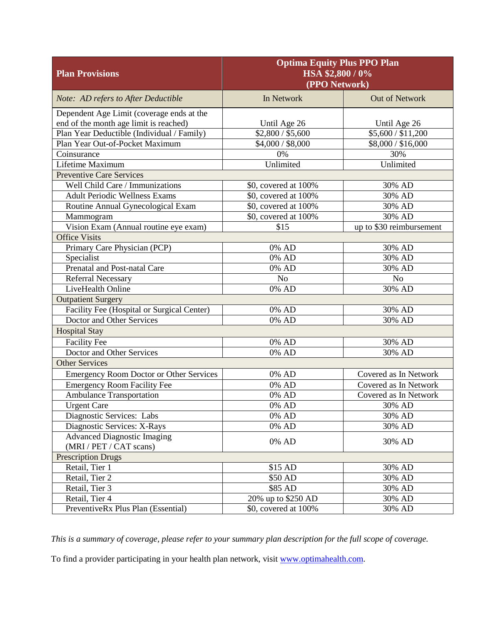| <b>Plan Provisions</b>                         | <b>Optima Equity Plus PPO Plan</b><br>HSA \$2,800/0%<br>(PPO Network) |                                |  |
|------------------------------------------------|-----------------------------------------------------------------------|--------------------------------|--|
| Note: AD refers to After Deductible            | In Network                                                            | Out of Network                 |  |
| Dependent Age Limit (coverage ends at the      |                                                                       |                                |  |
| end of the month age limit is reached)         | Until Age 26                                                          | Until Age 26                   |  |
| Plan Year Deductible (Individual / Family)     | \$2,800 / \$5,600                                                     | $\overline{$5,600}/$11,200$    |  |
| Plan Year Out-of-Pocket Maximum                | \$4,000 / \$8,000                                                     | $\overline{$8,000}$ / \$16,000 |  |
| Coinsurance                                    | 0%                                                                    | 30%                            |  |
| Lifetime Maximum                               | Unlimited                                                             | Unlimited                      |  |
| <b>Preventive Care Services</b>                |                                                                       |                                |  |
| Well Child Care / Immunizations                | \$0, covered at 100%                                                  | 30% AD                         |  |
| <b>Adult Periodic Wellness Exams</b>           | \$0, covered at 100%                                                  | 30% AD                         |  |
| Routine Annual Gynecological Exam              | \$0, covered at 100%                                                  | 30% AD                         |  |
| Mammogram                                      | \$0, covered at 100%                                                  | 30% AD                         |  |
| Vision Exam (Annual routine eye exam)          | \$15                                                                  | up to \$30 reimbursement       |  |
| <b>Office Visits</b>                           |                                                                       |                                |  |
| Primary Care Physician (PCP)                   | 0% AD                                                                 | 30% AD                         |  |
| Specialist                                     | 0% AD                                                                 | 30% AD                         |  |
| Prenatal and Post-natal Care                   | 0% AD                                                                 | 30% AD                         |  |
| <b>Referral Necessary</b>                      | N <sub>o</sub>                                                        | N <sub>o</sub>                 |  |
| LiveHealth Online                              | 0% AD                                                                 | 30% AD                         |  |
| <b>Outpatient Surgery</b>                      |                                                                       |                                |  |
| Facility Fee (Hospital or Surgical Center)     | 0% AD                                                                 | 30% AD                         |  |
| Doctor and Other Services                      | 0% AD                                                                 | 30% AD                         |  |
| <b>Hospital Stay</b>                           |                                                                       |                                |  |
| Facility Fee                                   | 0% AD                                                                 | 30% AD                         |  |
| Doctor and Other Services                      | $\overline{0}$ % AD                                                   | 30% AD                         |  |
| <b>Other Services</b>                          |                                                                       |                                |  |
| <b>Emergency Room Doctor or Other Services</b> | 0% AD                                                                 | Covered as In Network          |  |
| <b>Emergency Room Facility Fee</b>             | $\overline{0}$ % AD                                                   | Covered as In Network          |  |
| <b>Ambulance Transportation</b>                | $\overline{0}$ % AD                                                   | Covered as In Network          |  |
| <b>Urgent Care</b>                             | 0% AD                                                                 | 30% AD                         |  |
| Diagnostic Services: Labs                      | 0% AD                                                                 | 30% AD                         |  |
| Diagnostic Services: X-Rays                    | 0% AD                                                                 | 30% AD                         |  |
| <b>Advanced Diagnostic Imaging</b>             |                                                                       |                                |  |
| (MRI / PET / CAT scans)                        | $0\%$ AD                                                              | 30% AD                         |  |
| <b>Prescription Drugs</b>                      |                                                                       |                                |  |
| Retail, Tier 1                                 | \$15 AD                                                               | 30% AD                         |  |
| Retail, Tier 2                                 | \$50 AD                                                               | 30% AD                         |  |
| Retail, Tier 3                                 | \$85 AD                                                               | 30% AD                         |  |
| Retail, Tier 4                                 | 20% up to \$250 AD                                                    | 30% AD                         |  |
| PreventiveRx Plus Plan (Essential)             | \$0, covered at 100%                                                  | 30% AD                         |  |

*This is a summary of coverage, please refer to your summary plan description for the full scope of coverage.*

To find a provider participating in your health plan network, visit [www.optimahealth.com.](http://www.optimahealth.com/)